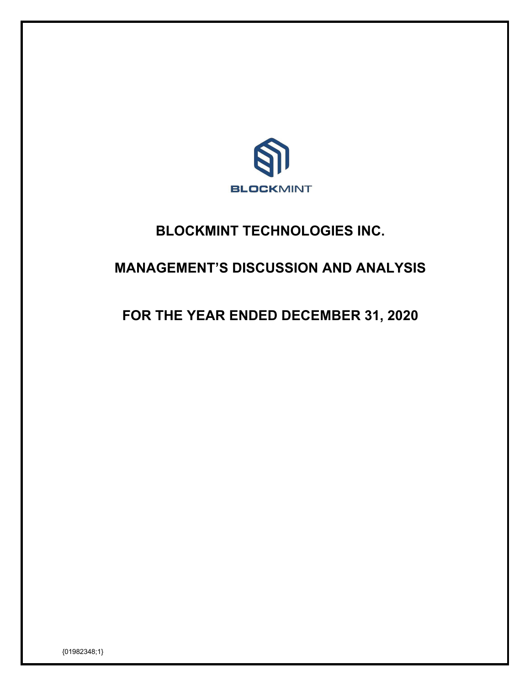

# **BLOCKMINT TECHNOLOGIES INC.**

# **MANAGEMENT'S DISCUSSION AND ANALYSIS**

# **FOR THE YEAR ENDED DECEMBER 31, 2020**

{01982348;1}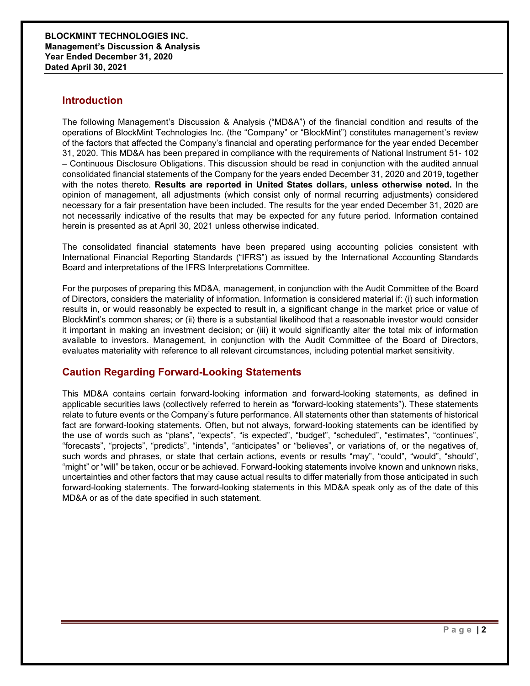# **Introduction**

The following Management's Discussion & Analysis ("MD&A") of the financial condition and results of the operations of BlockMint Technologies Inc. (the "Company" or "BlockMint") constitutes management's review of the factors that affected the Company's financial and operating performance for the year ended December 31, 2020. This MD&A has been prepared in compliance with the requirements of National Instrument 51- 102 – Continuous Disclosure Obligations. This discussion should be read in conjunction with the audited annual consolidated financial statements of the Company for the years ended December 31, 2020 and 2019, together with the notes thereto. **Results are reported in United States dollars, unless otherwise noted.** In the opinion of management, all adjustments (which consist only of normal recurring adjustments) considered necessary for a fair presentation have been included. The results for the year ended December 31, 2020 are not necessarily indicative of the results that may be expected for any future period. Information contained herein is presented as at April 30, 2021 unless otherwise indicated.

The consolidated financial statements have been prepared using accounting policies consistent with International Financial Reporting Standards ("IFRS") as issued by the International Accounting Standards Board and interpretations of the IFRS Interpretations Committee.

For the purposes of preparing this MD&A, management, in conjunction with the Audit Committee of the Board of Directors, considers the materiality of information. Information is considered material if: (i) such information results in, or would reasonably be expected to result in, a significant change in the market price or value of BlockMint's common shares; or (ii) there is a substantial likelihood that a reasonable investor would consider it important in making an investment decision; or (iii) it would significantly alter the total mix of information available to investors. Management, in conjunction with the Audit Committee of the Board of Directors, evaluates materiality with reference to all relevant circumstances, including potential market sensitivity.

## **Caution Regarding Forward-Looking Statements**

This MD&A contains certain forward-looking information and forward-looking statements, as defined in applicable securities laws (collectively referred to herein as "forward-looking statements"). These statements relate to future events or the Company's future performance. All statements other than statements of historical fact are forward-looking statements. Often, but not always, forward-looking statements can be identified by the use of words such as "plans", "expects", "is expected", "budget", "scheduled", "estimates", "continues", "forecasts", "projects", "predicts", "intends", "anticipates" or "believes", or variations of, or the negatives of, such words and phrases, or state that certain actions, events or results "may", "could", "would", "should", "might" or "will" be taken, occur or be achieved. Forward-looking statements involve known and unknown risks, uncertainties and other factors that may cause actual results to differ materially from those anticipated in such forward-looking statements. The forward-looking statements in this MD&A speak only as of the date of this MD&A or as of the date specified in such statement.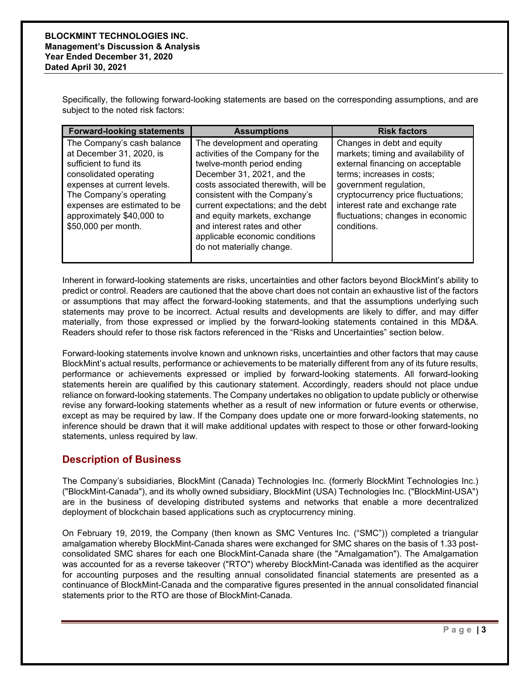Specifically, the following forward-looking statements are based on the corresponding assumptions, and are subject to the noted risk factors:

| <b>Forward-looking statements</b>                                                                                                                                                                                                                        | <b>Assumptions</b>                                                                                                                                                                                                                                                                                                                                                          | <b>Risk factors</b>                                                                                                                                                                                                                                                                        |
|----------------------------------------------------------------------------------------------------------------------------------------------------------------------------------------------------------------------------------------------------------|-----------------------------------------------------------------------------------------------------------------------------------------------------------------------------------------------------------------------------------------------------------------------------------------------------------------------------------------------------------------------------|--------------------------------------------------------------------------------------------------------------------------------------------------------------------------------------------------------------------------------------------------------------------------------------------|
| The Company's cash balance<br>at December 31, 2020, is<br>sufficient to fund its<br>consolidated operating<br>expenses at current levels.<br>The Company's operating<br>expenses are estimated to be<br>approximately \$40,000 to<br>\$50,000 per month. | The development and operating<br>activities of the Company for the<br>twelve-month period ending<br>December 31, 2021, and the<br>costs associated therewith, will be<br>consistent with the Company's<br>current expectations; and the debt<br>and equity markets, exchange<br>and interest rates and other<br>applicable economic conditions<br>do not materially change. | Changes in debt and equity<br>markets; timing and availability of<br>external financing on acceptable<br>terms; increases in costs;<br>government regulation,<br>cryptocurrency price fluctuations;<br>interest rate and exchange rate<br>fluctuations; changes in economic<br>conditions. |

Inherent in forward-looking statements are risks, uncertainties and other factors beyond BlockMint's ability to predict or control. Readers are cautioned that the above chart does not contain an exhaustive list of the factors or assumptions that may affect the forward-looking statements, and that the assumptions underlying such statements may prove to be incorrect. Actual results and developments are likely to differ, and may differ materially, from those expressed or implied by the forward-looking statements contained in this MD&A. Readers should refer to those risk factors referenced in the "Risks and Uncertainties" section below.

Forward-looking statements involve known and unknown risks, uncertainties and other factors that may cause BlockMint's actual results, performance or achievements to be materially different from any of its future results, performance or achievements expressed or implied by forward-looking statements. All forward-looking statements herein are qualified by this cautionary statement. Accordingly, readers should not place undue reliance on forward-looking statements. The Company undertakes no obligation to update publicly or otherwise revise any forward-looking statements whether as a result of new information or future events or otherwise, except as may be required by law. If the Company does update one or more forward-looking statements, no inference should be drawn that it will make additional updates with respect to those or other forward-looking statements, unless required by law.

# **Description of Business**

The Company's subsidiaries, BlockMint (Canada) Technologies Inc. (formerly BlockMint Technologies Inc.) ("BlockMint-Canada"), and its wholly owned subsidiary, BlockMint (USA) Technologies Inc. ("BlockMint-USA") are in the business of developing distributed systems and networks that enable a more decentralized deployment of blockchain based applications such as cryptocurrency mining.

On February 19, 2019, the Company (then known as SMC Ventures Inc. ("SMC")) completed a triangular amalgamation whereby BlockMint-Canada shares were exchanged for SMC shares on the basis of 1.33 postconsolidated SMC shares for each one BlockMint-Canada share (the "Amalgamation"). The Amalgamation was accounted for as a reverse takeover ("RTO") whereby BlockMint-Canada was identified as the acquirer for accounting purposes and the resulting annual consolidated financial statements are presented as a continuance of BlockMint-Canada and the comparative figures presented in the annual consolidated financial statements prior to the RTO are those of BlockMint-Canada.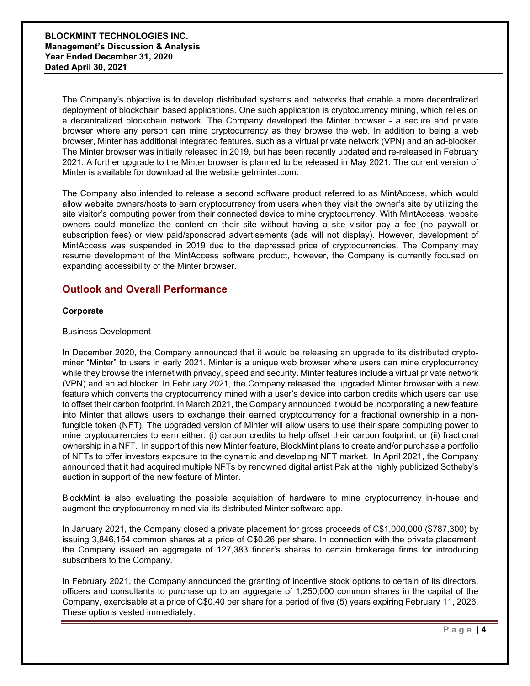The Company's objective is to develop distributed systems and networks that enable a more decentralized deployment of blockchain based applications. One such application is cryptocurrency mining, which relies on a decentralized blockchain network. The Company developed the Minter browser - a secure and private browser where any person can mine cryptocurrency as they browse the web. In addition to being a web browser, Minter has additional integrated features, such as a virtual private network (VPN) and an ad-blocker. The Minter browser was initially released in 2019, but has been recently updated and re-released in February 2021. A further upgrade to the Minter browser is planned to be released in May 2021. The current version of Minter is available for download at the website getminter.com.

The Company also intended to release a second software product referred to as MintAccess, which would allow website owners/hosts to earn cryptocurrency from users when they visit the owner's site by utilizing the site visitor's computing power from their connected device to mine cryptocurrency. With MintAccess, website owners could monetize the content on their site without having a site visitor pay a fee (no paywall or subscription fees) or view paid/sponsored advertisements (ads will not display). However, development of MintAccess was suspended in 2019 due to the depressed price of cryptocurrencies. The Company may resume development of the MintAccess software product, however, the Company is currently focused on expanding accessibility of the Minter browser.

# **Outlook and Overall Performance**

#### **Corporate**

#### Business Development

In December 2020, the Company announced that it would be releasing an upgrade to its distributed cryptominer "Minter" to users in early 2021. Minter is a unique web browser where users can mine cryptocurrency while they browse the internet with privacy, speed and security. Minter features include a virtual private network (VPN) and an ad blocker. In February 2021, the Company released the upgraded Minter browser with a new feature which converts the cryptocurrency mined with a user's device into carbon credits which users can use to offset their carbon footprint. In March 2021, the Company announced it would be incorporating a new feature into Minter that allows users to exchange their earned cryptocurrency for a fractional ownership in a nonfungible token (NFT). The upgraded version of Minter will allow users to use their spare computing power to mine cryptocurrencies to earn either: (i) carbon credits to help offset their carbon footprint; or (ii) fractional ownership in a NFT. In support of this new Minter feature, BlockMint plans to create and/or purchase a portfolio of NFTs to offer investors exposure to the dynamic and developing NFT market. In April 2021, the Company announced that it had acquired multiple NFTs by renowned digital artist Pak at the highly publicized Sotheby's auction in support of the new feature of Minter.

BlockMint is also evaluating the possible acquisition of hardware to mine cryptocurrency in-house and augment the cryptocurrency mined via its distributed Minter software app.

In January 2021, the Company closed a private placement for gross proceeds of C\$1,000,000 (\$787,300) by issuing 3,846,154 common shares at a price of C\$0.26 per share. In connection with the private placement, the Company issued an aggregate of 127,383 finder's shares to certain brokerage firms for introducing subscribers to the Company.

In February 2021, the Company announced the granting of incentive stock options to certain of its directors, officers and consultants to purchase up to an aggregate of 1,250,000 common shares in the capital of the Company, exercisable at a price of C\$0.40 per share for a period of five (5) years expiring February 11, 2026. These options vested immediately.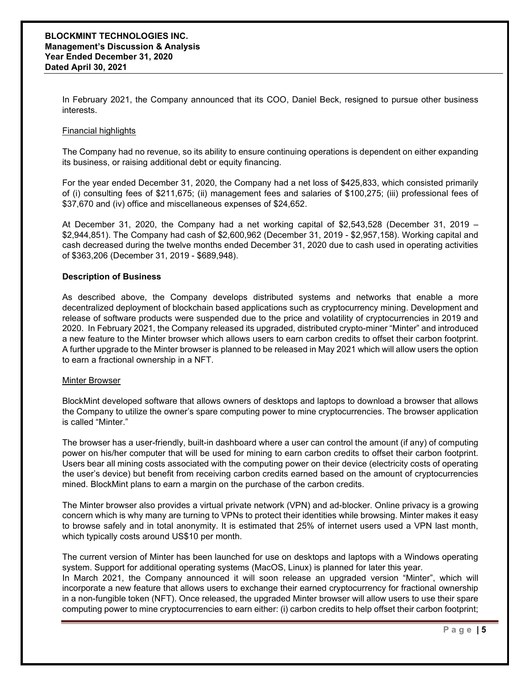In February 2021, the Company announced that its COO, Daniel Beck, resigned to pursue other business interests.

#### Financial highlights

The Company had no revenue, so its ability to ensure continuing operations is dependent on either expanding its business, or raising additional debt or equity financing.

For the year ended December 31, 2020, the Company had a net loss of \$425,833, which consisted primarily of (i) consulting fees of \$211,675; (ii) management fees and salaries of \$100,275; (iii) professional fees of \$37,670 and (iv) office and miscellaneous expenses of \$24,652.

At December 31, 2020, the Company had a net working capital of \$2,543,528 (December 31, 2019 – \$2,944,851). The Company had cash of \$2,600,962 (December 31, 2019 - \$2,957,158). Working capital and cash decreased during the twelve months ended December 31, 2020 due to cash used in operating activities of \$363,206 (December 31, 2019 - \$689,948).

#### **Description of Business**

As described above, the Company develops distributed systems and networks that enable a more decentralized deployment of blockchain based applications such as cryptocurrency mining. Development and release of software products were suspended due to the price and volatility of cryptocurrencies in 2019 and 2020. In February 2021, the Company released its upgraded, distributed crypto-miner "Minter" and introduced a new feature to the Minter browser which allows users to earn carbon credits to offset their carbon footprint. A further upgrade to the Minter browser is planned to be released in May 2021 which will allow users the option to earn a fractional ownership in a NFT.

#### Minter Browser

BlockMint developed software that allows owners of desktops and laptops to download a browser that allows the Company to utilize the owner's spare computing power to mine cryptocurrencies. The browser application is called "Minter."

The browser has a user-friendly, built-in dashboard where a user can control the amount (if any) of computing power on his/her computer that will be used for mining to earn carbon credits to offset their carbon footprint. Users bear all mining costs associated with the computing power on their device (electricity costs of operating the user's device) but benefit from receiving carbon credits earned based on the amount of cryptocurrencies mined. BlockMint plans to earn a margin on the purchase of the carbon credits.

The Minter browser also provides a virtual private network (VPN) and ad-blocker. Online privacy is a growing concern which is why many are turning to VPNs to protect their identities while browsing. Minter makes it easy to browse safely and in total anonymity. It is estimated that 25% of internet users used a VPN last month, which typically costs around US\$10 per month.

The current version of Minter has been launched for use on desktops and laptops with a Windows operating system. Support for additional operating systems (MacOS, Linux) is planned for later this year.

In March 2021, the Company announced it will soon release an upgraded version "Minter", which will incorporate a new feature that allows users to exchange their earned cryptocurrency for fractional ownership in a non-fungible token (NFT). Once released, the upgraded Minter browser will allow users to use their spare computing power to mine cryptocurrencies to earn either: (i) carbon credits to help offset their carbon footprint;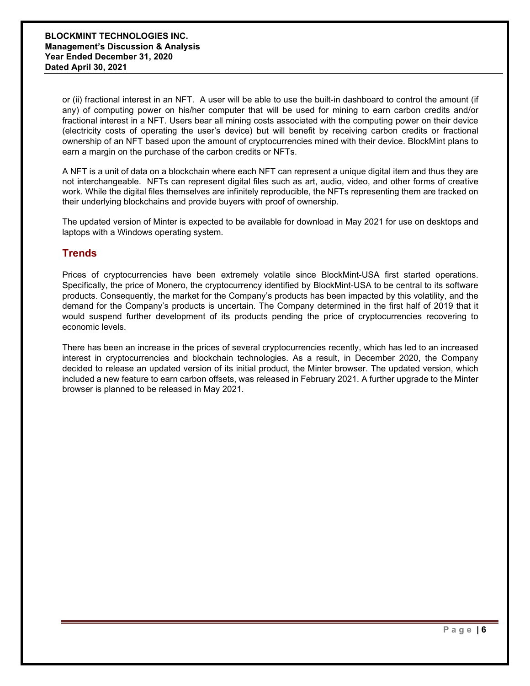or (ii) fractional interest in an NFT. A user will be able to use the built-in dashboard to control the amount (if any) of computing power on his/her computer that will be used for mining to earn carbon credits and/or fractional interest in a NFT. Users bear all mining costs associated with the computing power on their device (electricity costs of operating the user's device) but will benefit by receiving carbon credits or fractional ownership of an NFT based upon the amount of cryptocurrencies mined with their device. BlockMint plans to earn a margin on the purchase of the carbon credits or NFTs.

A NFT is a unit of data on a blockchain where each NFT can represent a unique digital item and thus they are not interchangeable. NFTs can represent digital files such as art, audio, video, and other forms of creative work. While the digital files themselves are infinitely reproducible, the NFTs representing them are tracked on their underlying blockchains and provide buyers with proof of ownership.

The updated version of Minter is expected to be available for download in May 2021 for use on desktops and laptops with a Windows operating system.

## **Trends**

Prices of cryptocurrencies have been extremely volatile since BlockMint-USA first started operations. Specifically, the price of Monero, the cryptocurrency identified by BlockMint-USA to be central to its software products. Consequently, the market for the Company's products has been impacted by this volatility, and the demand for the Company's products is uncertain. The Company determined in the first half of 2019 that it would suspend further development of its products pending the price of cryptocurrencies recovering to economic levels.

There has been an increase in the prices of several cryptocurrencies recently, which has led to an increased interest in cryptocurrencies and blockchain technologies. As a result, in December 2020, the Company decided to release an updated version of its initial product, the Minter browser. The updated version, which included a new feature to earn carbon offsets, was released in February 2021. A further upgrade to the Minter browser is planned to be released in May 2021.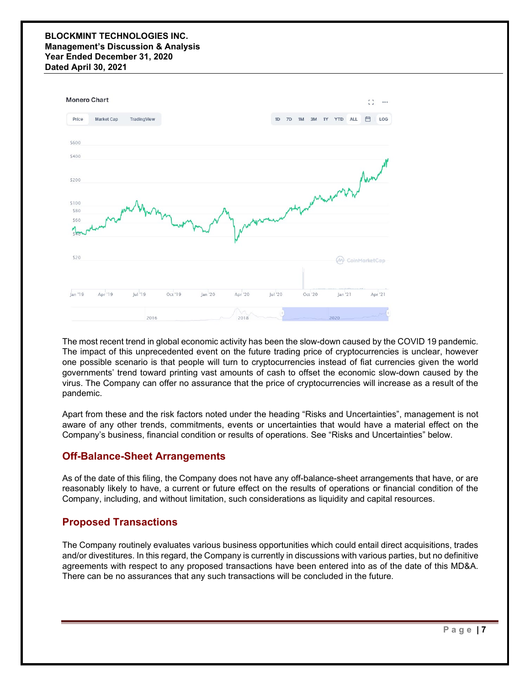#### **BLOCKMINT TECHNOLOGIES INC. Management's Discussion & Analysis Year Ended December 31, 2020 Dated April 30, 2021**



The most recent trend in global economic activity has been the slow-down caused by the COVID 19 pandemic. The impact of this unprecedented event on the future trading price of cryptocurrencies is unclear, however one possible scenario is that people will turn to cryptocurrencies instead of fiat currencies given the world governments' trend toward printing vast amounts of cash to offset the economic slow-down caused by the virus. The Company can offer no assurance that the price of cryptocurrencies will increase as a result of the pandemic.

Apart from these and the risk factors noted under the heading "Risks and Uncertainties", management is not aware of any other trends, commitments, events or uncertainties that would have a material effect on the Company's business, financial condition or results of operations. See "Risks and Uncertainties" below.

# **Off-Balance-Sheet Arrangements**

As of the date of this filing, the Company does not have any off-balance-sheet arrangements that have, or are reasonably likely to have, a current or future effect on the results of operations or financial condition of the Company, including, and without limitation, such considerations as liquidity and capital resources.

# **Proposed Transactions**

The Company routinely evaluates various business opportunities which could entail direct acquisitions, trades and/or divestitures. In this regard, the Company is currently in discussions with various parties, but no definitive agreements with respect to any proposed transactions have been entered into as of the date of this MD&A. There can be no assurances that any such transactions will be concluded in the future.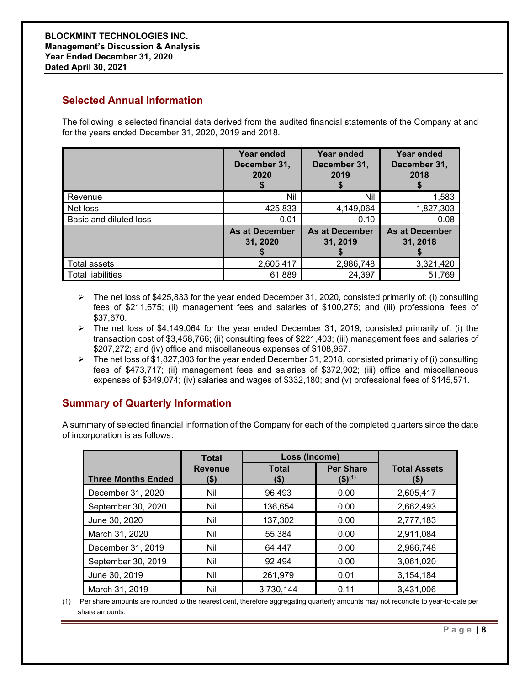# **Selected Annual Information**

The following is selected financial data derived from the audited financial statements of the Company at and for the years ended December 31, 2020, 2019 and 2018.

|                          | Year ended<br>December 31,<br>2020 | Year ended<br>December 31,<br>2019 | Year ended<br>December 31,<br>2018 |
|--------------------------|------------------------------------|------------------------------------|------------------------------------|
| Revenue                  | Nil                                | Nil                                | 1,583                              |
| Net loss                 | 425,833                            | 4,149,064                          | 1,827,303                          |
| Basic and diluted loss   | 0.01                               | 0.10                               | 0.08                               |
|                          | <b>As at December</b><br>31, 2020  | <b>As at December</b><br>31, 2019  | <b>As at December</b><br>31, 2018  |
| Total assets             | 2,605,417                          | 2,986,748                          | 3,321,420                          |
| <b>Total liabilities</b> | 61,889                             | 24,397                             | 51,769                             |

- $\triangleright$  The net loss of \$425,833 for the year ended December 31, 2020, consisted primarily of: (i) consulting fees of \$211,675; (ii) management fees and salaries of \$100,275; and (iii) professional fees of \$37,670.
- $\triangleright$  The net loss of \$4,149,064 for the year ended December 31, 2019, consisted primarily of: (i) the transaction cost of \$3,458,766; (ii) consulting fees of \$221,403; (iii) management fees and salaries of \$207,272; and (iv) office and miscellaneous expenses of \$108,967.
- $\triangleright$  The net loss of \$1,827,303 for the year ended December 31, 2018, consisted primarily of (i) consulting fees of \$473,717; (ii) management fees and salaries of \$372,902; (iii) office and miscellaneous expenses of \$349,074; (iv) salaries and wages of \$332,180; and (v) professional fees of \$145,571.

# **Summary of Quarterly Information**

A summary of selected financial information of the Company for each of the completed quarters since the date of incorporation is as follows:

|                           | <b>Total</b>           | Loss (Income)        |                                            |                             |
|---------------------------|------------------------|----------------------|--------------------------------------------|-----------------------------|
| <b>Three Months Ended</b> | <b>Revenue</b><br>(\$) | <b>Total</b><br>(\$) | <b>Per Share</b><br>$($ \$) <sup>(1)</sup> | <b>Total Assets</b><br>(\$) |
| December 31, 2020         | Nil                    | 96,493               | 0.00                                       | 2,605,417                   |
| September 30, 2020        | Nil                    | 136,654              | 0.00                                       | 2,662,493                   |
| June 30, 2020             | Nil                    | 137,302              | 0.00                                       | 2,777,183                   |
| March 31, 2020            | Nil                    | 55,384               | 0.00                                       | 2,911,084                   |
| December 31, 2019         | Nil                    | 64,447               | 0.00                                       | 2,986,748                   |
| September 30, 2019        | Nil                    | 92,494               | 0.00                                       | 3,061,020                   |
| June 30, 2019             | Nil                    | 261,979              | 0.01                                       | 3,154,184                   |
| March 31, 2019            | Nil                    | 3,730,144            | 0.11                                       | 3,431,006                   |

(1) Per share amounts are rounded to the nearest cent, therefore aggregating quarterly amounts may not reconcile to year-to-date per share amounts.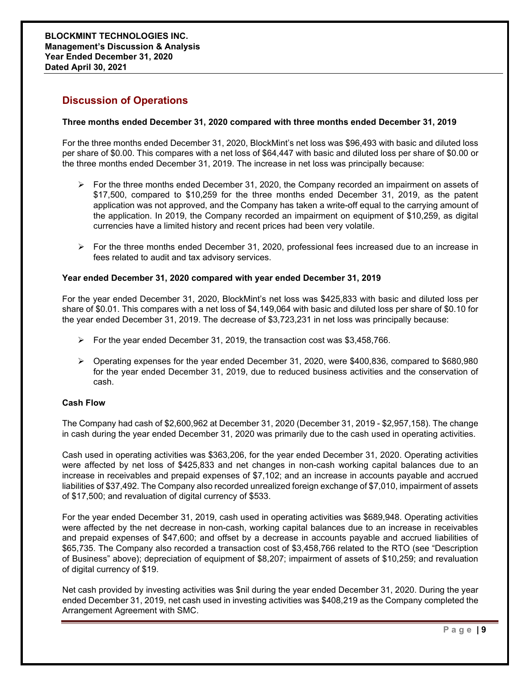# **Discussion of Operations**

#### **Three months ended December 31, 2020 compared with three months ended December 31, 2019**

For the three months ended December 31, 2020, BlockMint's net loss was \$96,493 with basic and diluted loss per share of \$0.00. This compares with a net loss of \$64,447 with basic and diluted loss per share of \$0.00 or the three months ended December 31, 2019. The increase in net loss was principally because:

- $\triangleright$  For the three months ended December 31, 2020, the Company recorded an impairment on assets of \$17,500, compared to \$10,259 for the three months ended December 31, 2019, as the patent application was not approved, and the Company has taken a write-off equal to the carrying amount of the application. In 2019, the Company recorded an impairment on equipment of \$10,259, as digital currencies have a limited history and recent prices had been very volatile.
- $\triangleright$  For the three months ended December 31, 2020, professional fees increased due to an increase in fees related to audit and tax advisory services.

#### **Year ended December 31, 2020 compared with year ended December 31, 2019**

For the year ended December 31, 2020, BlockMint's net loss was \$425,833 with basic and diluted loss per share of \$0.01. This compares with a net loss of \$4,149,064 with basic and diluted loss per share of \$0.10 for the year ended December 31, 2019. The decrease of \$3,723,231 in net loss was principally because:

- For the year ended December 31, 2019, the transaction cost was  $$3,458,766$ .
- Operating expenses for the year ended December 31, 2020, were \$400,836, compared to \$680,980 for the year ended December 31, 2019, due to reduced business activities and the conservation of cash.

#### **Cash Flow**

The Company had cash of \$2,600,962 at December 31, 2020 (December 31, 2019 - \$2,957,158). The change in cash during the year ended December 31, 2020 was primarily due to the cash used in operating activities.

Cash used in operating activities was \$363,206, for the year ended December 31, 2020. Operating activities were affected by net loss of \$425,833 and net changes in non-cash working capital balances due to an increase in receivables and prepaid expenses of \$7,102; and an increase in accounts payable and accrued liabilities of \$37,492. The Company also recorded unrealized foreign exchange of \$7,010, impairment of assets of \$17,500; and revaluation of digital currency of \$533.

For the year ended December 31, 2019, cash used in operating activities was \$689,948. Operating activities were affected by the net decrease in non-cash, working capital balances due to an increase in receivables and prepaid expenses of \$47,600; and offset by a decrease in accounts payable and accrued liabilities of \$65,735. The Company also recorded a transaction cost of \$3,458,766 related to the RTO (see "Description of Business" above); depreciation of equipment of \$8,207; impairment of assets of \$10,259; and revaluation of digital currency of \$19.

Net cash provided by investing activities was \$nil during the year ended December 31, 2020. During the year ended December 31, 2019, net cash used in investing activities was \$408,219 as the Company completed the Arrangement Agreement with SMC.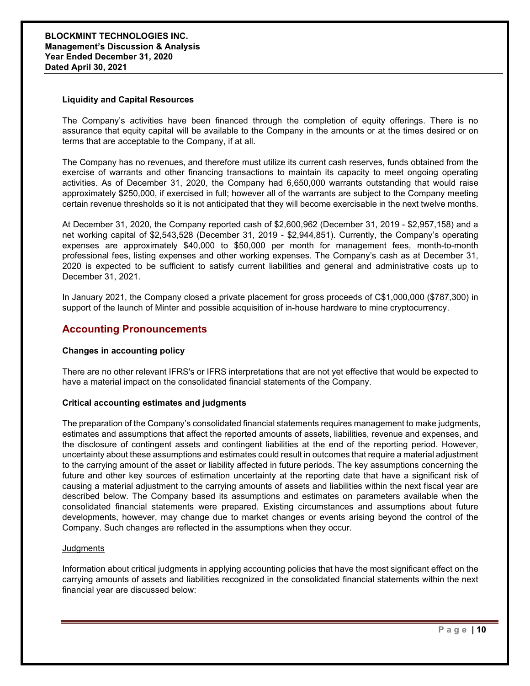#### **Liquidity and Capital Resources**

The Company's activities have been financed through the completion of equity offerings. There is no assurance that equity capital will be available to the Company in the amounts or at the times desired or on terms that are acceptable to the Company, if at all.

The Company has no revenues, and therefore must utilize its current cash reserves, funds obtained from the exercise of warrants and other financing transactions to maintain its capacity to meet ongoing operating activities. As of December 31, 2020, the Company had 6,650,000 warrants outstanding that would raise approximately \$250,000, if exercised in full; however all of the warrants are subject to the Company meeting certain revenue thresholds so it is not anticipated that they will become exercisable in the next twelve months.

At December 31, 2020, the Company reported cash of \$2,600,962 (December 31, 2019 - \$2,957,158) and a net working capital of \$2,543,528 (December 31, 2019 - \$2,944,851). Currently, the Company's operating expenses are approximately \$40,000 to \$50,000 per month for management fees, month-to-month professional fees, listing expenses and other working expenses. The Company's cash as at December 31, 2020 is expected to be sufficient to satisfy current liabilities and general and administrative costs up to December 31, 2021.

In January 2021, the Company closed a private placement for gross proceeds of C\$1,000,000 (\$787,300) in support of the launch of Minter and possible acquisition of in-house hardware to mine cryptocurrency.

### **Accounting Pronouncements**

#### **Changes in accounting policy**

There are no other relevant IFRS's or IFRS interpretations that are not yet effective that would be expected to have a material impact on the consolidated financial statements of the Company.

#### **Critical accounting estimates and judgments**

The preparation of the Company's consolidated financial statements requires management to make judgments, estimates and assumptions that affect the reported amounts of assets, liabilities, revenue and expenses, and the disclosure of contingent assets and contingent liabilities at the end of the reporting period. However, uncertainty about these assumptions and estimates could result in outcomes that require a material adjustment to the carrying amount of the asset or liability affected in future periods. The key assumptions concerning the future and other key sources of estimation uncertainty at the reporting date that have a significant risk of causing a material adjustment to the carrying amounts of assets and liabilities within the next fiscal year are described below. The Company based its assumptions and estimates on parameters available when the consolidated financial statements were prepared. Existing circumstances and assumptions about future developments, however, may change due to market changes or events arising beyond the control of the Company. Such changes are reflected in the assumptions when they occur.

#### **Judgments**

Information about critical judgments in applying accounting policies that have the most significant effect on the carrying amounts of assets and liabilities recognized in the consolidated financial statements within the next financial year are discussed below: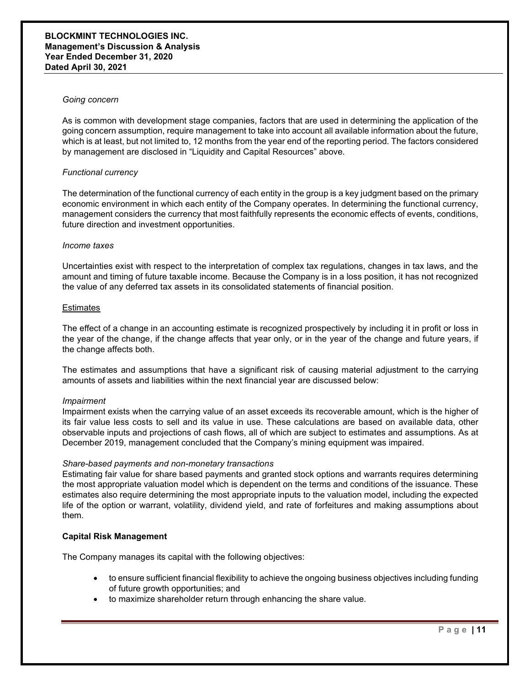#### **BLOCKMINT TECHNOLOGIES INC. Management's Discussion & Analysis Year Ended December 31, 2020 Dated April 30, 2021**

#### *Going concern*

As is common with development stage companies, factors that are used in determining the application of the going concern assumption, require management to take into account all available information about the future, which is at least, but not limited to, 12 months from the year end of the reporting period. The factors considered by management are disclosed in "Liquidity and Capital Resources" above.

#### *Functional currency*

The determination of the functional currency of each entity in the group is a key judgment based on the primary economic environment in which each entity of the Company operates. In determining the functional currency, management considers the currency that most faithfully represents the economic effects of events, conditions, future direction and investment opportunities.

#### *Income taxes*

Uncertainties exist with respect to the interpretation of complex tax regulations, changes in tax laws, and the amount and timing of future taxable income. Because the Company is in a loss position, it has not recognized the value of any deferred tax assets in its consolidated statements of financial position.

#### **Estimates**

The effect of a change in an accounting estimate is recognized prospectively by including it in profit or loss in the year of the change, if the change affects that year only, or in the year of the change and future years, if the change affects both.

The estimates and assumptions that have a significant risk of causing material adjustment to the carrying amounts of assets and liabilities within the next financial year are discussed below:

#### *Impairment*

Impairment exists when the carrying value of an asset exceeds its recoverable amount, which is the higher of its fair value less costs to sell and its value in use. These calculations are based on available data, other observable inputs and projections of cash flows, all of which are subject to estimates and assumptions. As at December 2019, management concluded that the Company's mining equipment was impaired.

#### *Share-based payments and non-monetary transactions*

Estimating fair value for share based payments and granted stock options and warrants requires determining the most appropriate valuation model which is dependent on the terms and conditions of the issuance. These estimates also require determining the most appropriate inputs to the valuation model, including the expected life of the option or warrant, volatility, dividend yield, and rate of forfeitures and making assumptions about them.

#### **Capital Risk Management**

The Company manages its capital with the following objectives:

- to ensure sufficient financial flexibility to achieve the ongoing business objectives including funding of future growth opportunities; and
- to maximize shareholder return through enhancing the share value.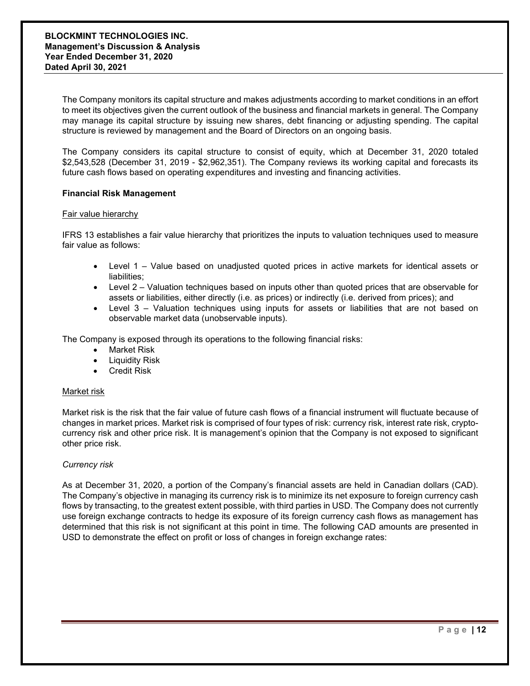The Company monitors its capital structure and makes adjustments according to market conditions in an effort to meet its objectives given the current outlook of the business and financial markets in general. The Company may manage its capital structure by issuing new shares, debt financing or adjusting spending. The capital structure is reviewed by management and the Board of Directors on an ongoing basis.

The Company considers its capital structure to consist of equity, which at December 31, 2020 totaled \$2,543,528 (December 31, 2019 - \$2,962,351). The Company reviews its working capital and forecasts its future cash flows based on operating expenditures and investing and financing activities.

#### **Financial Risk Management**

#### Fair value hierarchy

IFRS 13 establishes a fair value hierarchy that prioritizes the inputs to valuation techniques used to measure fair value as follows:

- Level 1 Value based on unadjusted quoted prices in active markets for identical assets or liabilities;
- Level 2 Valuation techniques based on inputs other than quoted prices that are observable for assets or liabilities, either directly (i.e. as prices) or indirectly (i.e. derived from prices); and
- Level 3 Valuation techniques using inputs for assets or liabilities that are not based on observable market data (unobservable inputs).

The Company is exposed through its operations to the following financial risks:

- Market Risk
- **Liquidity Risk**
- Credit Risk

#### Market risk

Market risk is the risk that the fair value of future cash flows of a financial instrument will fluctuate because of changes in market prices. Market risk is comprised of four types of risk: currency risk, interest rate risk, cryptocurrency risk and other price risk. It is management's opinion that the Company is not exposed to significant other price risk.

#### *Currency risk*

As at December 31, 2020, a portion of the Company's financial assets are held in Canadian dollars (CAD). The Company's objective in managing its currency risk is to minimize its net exposure to foreign currency cash flows by transacting, to the greatest extent possible, with third parties in USD. The Company does not currently use foreign exchange contracts to hedge its exposure of its foreign currency cash flows as management has determined that this risk is not significant at this point in time. The following CAD amounts are presented in USD to demonstrate the effect on profit or loss of changes in foreign exchange rates: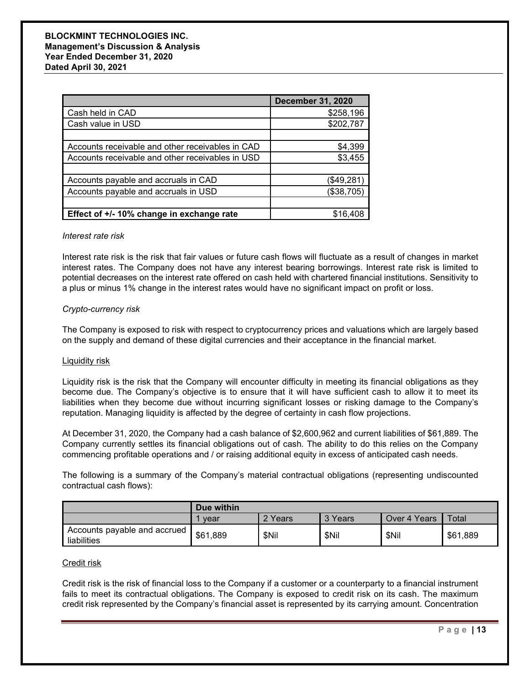|                                                  | <b>December 31, 2020</b> |
|--------------------------------------------------|--------------------------|
| Cash held in CAD                                 | \$258,196                |
| Cash value in USD                                | \$202,787                |
|                                                  |                          |
| Accounts receivable and other receivables in CAD | \$4,399                  |
| Accounts receivable and other receivables in USD | \$3,455                  |
|                                                  |                          |
| Accounts payable and accruals in CAD             | (\$49,281)               |
| Accounts payable and accruals in USD             | (\$38,705)               |
|                                                  |                          |
| Effect of +/- 10% change in exchange rate        | \$16,408                 |

#### *Interest rate risk*

Interest rate risk is the risk that fair values or future cash flows will fluctuate as a result of changes in market interest rates. The Company does not have any interest bearing borrowings. Interest rate risk is limited to potential decreases on the interest rate offered on cash held with chartered financial institutions. Sensitivity to a plus or minus 1% change in the interest rates would have no significant impact on profit or loss.

#### *Crypto-currency risk*

The Company is exposed to risk with respect to cryptocurrency prices and valuations which are largely based on the supply and demand of these digital currencies and their acceptance in the financial market.

#### Liquidity risk

Liquidity risk is the risk that the Company will encounter difficulty in meeting its financial obligations as they become due. The Company's objective is to ensure that it will have sufficient cash to allow it to meet its liabilities when they become due without incurring significant losses or risking damage to the Company's reputation. Managing liquidity is affected by the degree of certainty in cash flow projections.

At December 31, 2020, the Company had a cash balance of \$2,600,962 and current liabilities of \$61,889. The Company currently settles its financial obligations out of cash. The ability to do this relies on the Company commencing profitable operations and / or raising additional equity in excess of anticipated cash needs.

The following is a summary of the Company's material contractual obligations (representing undiscounted contractual cash flows):

|                                             | Due within |         |         |              |          |
|---------------------------------------------|------------|---------|---------|--------------|----------|
|                                             | vear       | 2 Years | 3 Years | Over 4 Years | Total    |
| Accounts payable and accrued<br>liabilities | \$61,889   | \$Nil   | \$Nil   | \$Nil        | \$61,889 |

#### Credit risk

Credit risk is the risk of financial loss to the Company if a customer or a counterparty to a financial instrument fails to meet its contractual obligations. The Company is exposed to credit risk on its cash. The maximum credit risk represented by the Company's financial asset is represented by its carrying amount. Concentration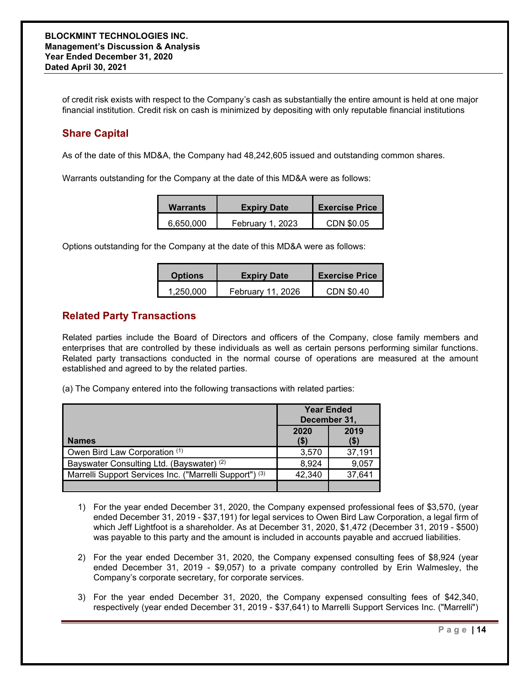of credit risk exists with respect to the Company's cash as substantially the entire amount is held at one major financial institution. Credit risk on cash is minimized by depositing with only reputable financial institutions

# **Share Capital**

As of the date of this MD&A, the Company had 48,242,605 issued and outstanding common shares.

Warrants outstanding for the Company at the date of this MD&A were as follows:

| <b>Warrants</b> | <b>Expiry Date</b> |            |
|-----------------|--------------------|------------|
| 6,650,000       | February 1, 2023   | CDN \$0.05 |

Options outstanding for the Company at the date of this MD&A were as follows:

| <b>Options</b> | <b>Expiry Date</b> | <b>Exercise Price</b> |
|----------------|--------------------|-----------------------|
| 1,250,000      | February 11, 2026  | CDN \$0.40            |

## **Related Party Transactions**

Related parties include the Board of Directors and officers of the Company, close family members and enterprises that are controlled by these individuals as well as certain persons performing similar functions. Related party transactions conducted in the normal course of operations are measured at the amount established and agreed to by the related parties.

(a) The Company entered into the following transactions with related parties:

|                                                                    | <b>Year Ended</b><br>December 31, |        |  |
|--------------------------------------------------------------------|-----------------------------------|--------|--|
| <b>Names</b>                                                       | 2019<br>2020<br>$($ \$)<br>(\$)   |        |  |
| Owen Bird Law Corporation (1)                                      | 3,570                             | 37,191 |  |
| Bayswater Consulting Ltd. (Bayswater) (2)                          | 8,924                             | 9,057  |  |
| Marrelli Support Services Inc. ("Marrelli Support") <sup>(3)</sup> | 42,340                            | 37,641 |  |
|                                                                    |                                   |        |  |

- 1) For the year ended December 31, 2020, the Company expensed professional fees of \$3,570, (year ended December 31, 2019 - \$37,191) for legal services to Owen Bird Law Corporation, a legal firm of which Jeff Lightfoot is a shareholder. As at December 31, 2020, \$1,472 (December 31, 2019 - \$500) was payable to this party and the amount is included in accounts payable and accrued liabilities.
- 2) For the year ended December 31, 2020, the Company expensed consulting fees of \$8,924 (year ended December 31, 2019 - \$9,057) to a private company controlled by Erin Walmesley, the Company's corporate secretary, for corporate services.
- 3) For the year ended December 31, 2020, the Company expensed consulting fees of \$42,340, respectively (year ended December 31, 2019 - \$37,641) to Marrelli Support Services Inc. ("Marrelli")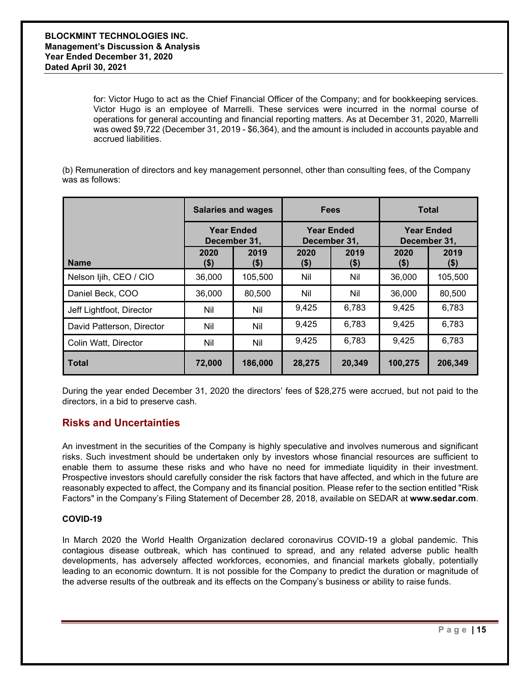for: Victor Hugo to act as the Chief Financial Officer of the Company; and for bookkeeping services. Victor Hugo is an employee of Marrelli. These services were incurred in the normal course of operations for general accounting and financial reporting matters. As at December 31, 2020, Marrelli was owed \$9,722 (December 31, 2019 - \$6,364), and the amount is included in accounts payable and accrued liabilities.

(b) Remuneration of directors and key management personnel, other than consulting fees, of the Company was as follows:

|                           | <b>Salaries and wages</b>         |                 | <b>Fees</b>       |                 | <b>Total</b>                      |                 |
|---------------------------|-----------------------------------|-----------------|-------------------|-----------------|-----------------------------------|-----------------|
|                           | <b>Year Ended</b><br>December 31, |                 | <b>Year Ended</b> | December 31,    | <b>Year Ended</b><br>December 31, |                 |
| <b>Name</b>               | 2020<br>$($ \$)                   | 2019<br>$($ \$) | 2020<br>$($ \$)   | 2019<br>$($ \$) | 2020<br>(\$)                      | 2019<br>$($ \$) |
| Nelson Ijih, CEO / CIO    | 36,000                            | 105,500         | Nil               | Nil             | 36,000                            | 105,500         |
| Daniel Beck, COO          | 36,000                            | 80,500          | Nil               | Nil             | 36,000                            | 80,500          |
| Jeff Lightfoot, Director  | Nil                               | Nil             | 9,425             | 6,783           | 9,425                             | 6,783           |
| David Patterson, Director | Nil                               | Nil             | 9,425             | 6,783           | 9,425                             | 6,783           |
| Colin Watt, Director      | Nil                               | Nil             | 9,425             | 6,783           | 9,425                             | 6,783           |
| l Total                   | 72,000                            | 186,000         | 28,275            | 20,349          | 100,275                           | 206,349         |

During the year ended December 31, 2020 the directors' fees of \$28,275 were accrued, but not paid to the directors, in a bid to preserve cash.

# **Risks and Uncertainties**

An investment in the securities of the Company is highly speculative and involves numerous and significant risks. Such investment should be undertaken only by investors whose financial resources are sufficient to enable them to assume these risks and who have no need for immediate liquidity in their investment. Prospective investors should carefully consider the risk factors that have affected, and which in the future are reasonably expected to affect, the Company and its financial position. Please refer to the section entitled "Risk Factors" in the Company's Filing Statement of December 28, 2018, available on SEDAR at **www.sedar.com**.

#### **COVID-19**

In March 2020 the World Health Organization declared coronavirus COVID-19 a global pandemic. This contagious disease outbreak, which has continued to spread, and any related adverse public health developments, has adversely affected workforces, economies, and financial markets globally, potentially leading to an economic downturn. It is not possible for the Company to predict the duration or magnitude of the adverse results of the outbreak and its effects on the Company's business or ability to raise funds.